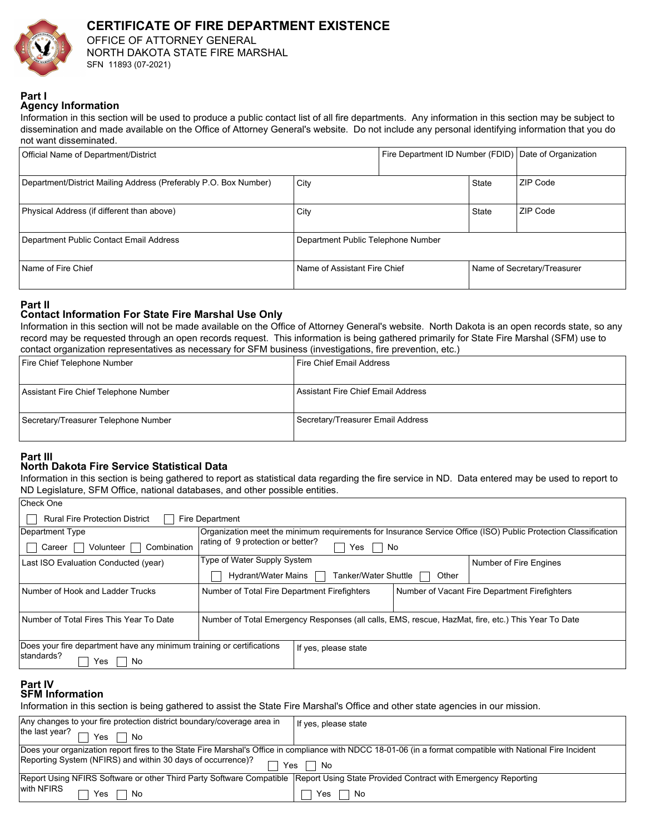

### **CERTIFICATE OF FIRE DEPARTMENT EXISTENCE**  OFFICE OF ATTORNEY GENERAL NORTH DAKOTA STATE FIRE MARSHAL

SFN 11893 (07-2021)

#### **Part I Agency Information**

Information in this section will be used to produce a public contact list of all fire departments. Any information in this section may be subject to dissemination and made available on the Office of Attorney General's website. Do not include any personal identifying information that you do not want disseminated.

| Official Name of Department/District                             |                                    | Fire Department ID Number (FDID) Date of Organization |       |                             |
|------------------------------------------------------------------|------------------------------------|-------------------------------------------------------|-------|-----------------------------|
| Department/District Mailing Address (Preferably P.O. Box Number) | City                               |                                                       | State | ZIP Code                    |
| Physical Address (if different than above)                       | City                               |                                                       | State | ZIP Code                    |
| Department Public Contact Email Address                          | Department Public Telephone Number |                                                       |       |                             |
| Name of Fire Chief                                               | Name of Assistant Fire Chief       |                                                       |       | Name of Secretary/Treasurer |

**Part II**

## **Contact Information For State Fire Marshal Use Only**

Information in this section will not be made available on the Office of Attorney General's website. North Dakota is an open records state, so any record may be requested through an open records request. This information is being gathered primarily for State Fire Marshal (SFM) use to contact organization representatives as necessary for SFM business (investigations, fire prevention, etc.)

| Fire Chief Telephone Number           | I Fire Chief Email Address           |
|---------------------------------------|--------------------------------------|
|                                       |                                      |
| Assistant Fire Chief Telephone Number | l Assistant Fire Chief Email Address |
| Secretary/Treasurer Telephone Number  | Secretary/Treasurer Email Address    |

# **Part III**

Check One

## **North Dakota Fire Service Statistical Data**

Information in this section is being gathered to report as statistical data regarding the fire service in ND. Data entered may be used to report to ND Legislature, SFM Office, national databases, and other possible entities.

| <b>Rural Fire Protection District</b><br><b>Fire Department</b>                               |                                                                                                                |                      |       |  |  |
|-----------------------------------------------------------------------------------------------|----------------------------------------------------------------------------------------------------------------|----------------------|-------|--|--|
| Department Type                                                                               | Organization meet the minimum requirements for Insurance Service Office (ISO) Public Protection Classification |                      |       |  |  |
| Combination<br>Volunteer<br>Career                                                            | rating of 9 protection or better?<br>Yes<br>No                                                                 |                      |       |  |  |
| Last ISO Evaluation Conducted (year)                                                          | Type of Water Supply System<br>Number of Fire Engines                                                          |                      |       |  |  |
|                                                                                               | Hydrant/Water Mains                                                                                            | Tanker/Water Shuttle | Other |  |  |
| Number of Hook and Ladder Trucks                                                              | Number of Total Fire Department Firefighters<br>Number of Vacant Fire Department Firefighters                  |                      |       |  |  |
|                                                                                               |                                                                                                                |                      |       |  |  |
| Number of Total Fires This Year To Date                                                       | Number of Total Emergency Responses (all calls, EMS, rescue, HazMat, fire, etc.) This Year To Date             |                      |       |  |  |
|                                                                                               |                                                                                                                |                      |       |  |  |
| Does your fire department have any minimum training or certifications<br>If yes, please state |                                                                                                                |                      |       |  |  |
| standards?<br>No<br>Yes                                                                       |                                                                                                                |                      |       |  |  |

#### **SFM Information Part IV**

Information in this section is being gathered to assist the State Fire Marshal's Office and other state agencies in our mission.

| Any changes to your fire protection district boundary/coverage area in                                                                                      | If yes, please state |  |  |  |
|-------------------------------------------------------------------------------------------------------------------------------------------------------------|----------------------|--|--|--|
| the last year? $\Box$<br>Yes $\Box$<br>$\sqcap$ No                                                                                                          |                      |  |  |  |
| Does your organization report fires to the State Fire Marshal's Office in compliance with NDCC 18-01-06 (in a format compatible with National Fire Incident |                      |  |  |  |
| Reporting System (NFIRS) and within 30 days of occurrence)?<br>Yes II No                                                                                    |                      |  |  |  |
| Report Using NFIRS Software or other Third Party Software Compatible   Report Using State Provided Contract with Emergency Reporting                        |                      |  |  |  |
| with NFIRS<br>Yes<br>No                                                                                                                                     | No<br>Yes            |  |  |  |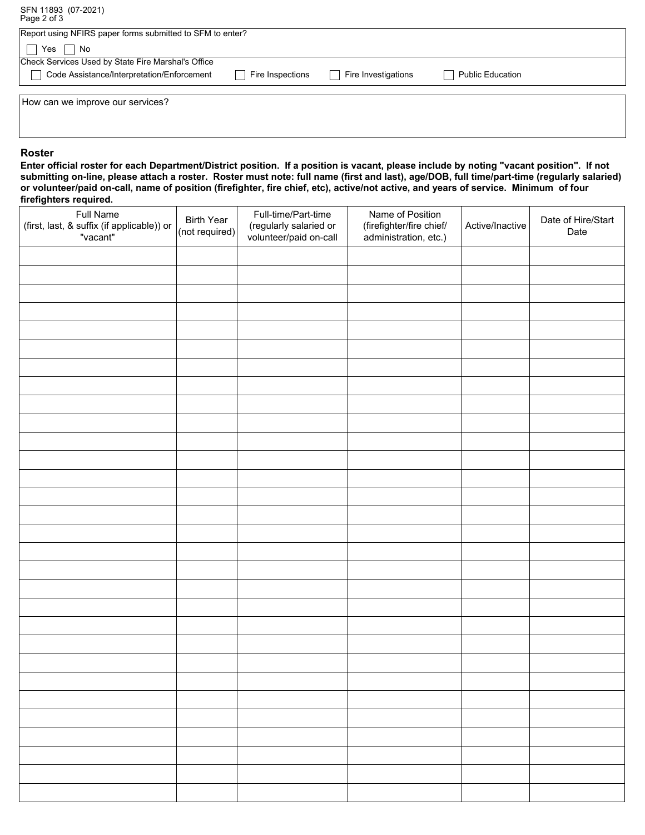SFN 11893 (07-2021) Page 2 of 3

| Report using NFIRS paper forms submitted to SFM to enter? |                       |                     |                         |  |
|-----------------------------------------------------------|-----------------------|---------------------|-------------------------|--|
| Yes<br>No                                                 |                       |                     |                         |  |
| Check Services Used by State Fire Marshal's Office        |                       |                     |                         |  |
| Code Assistance/Interpretation/Enforcement                | Fire Inspections<br>× | Fire Investigations | <b>Public Education</b> |  |
|                                                           |                       |                     |                         |  |
| How can we improve our services?                          |                       |                     |                         |  |
|                                                           |                       |                     |                         |  |
|                                                           |                       |                     |                         |  |

#### **Roster**

**Enter official roster for each Department/District position. If a position is vacant, please include by noting "vacant position". If not submitting on-line, please attach a roster. Roster must note: full name (first and last), age/DOB, full time/part-time (regularly salaried) or volunteer/paid on-call, name of position (firefighter, fire chief, etc), active/not active, and years of service. Minimum of four firefighters required.**

| <b>Full Name</b><br>(first, last, & suffix (if applicable)) or<br>"vacant" | <b>Birth Year</b><br>(not required) | Full-time/Part-time<br>(regularly salaried or<br>volunteer/paid on-call | Name of Position<br>(firefighter/fire chief/<br>administration, etc.) | Active/Inactive           | Date of Hire/Start<br>Date |
|----------------------------------------------------------------------------|-------------------------------------|-------------------------------------------------------------------------|-----------------------------------------------------------------------|---------------------------|----------------------------|
|                                                                            |                                     | $\vert \vert$                                                           |                                                                       | $\overline{\phantom{0}}$  |                            |
|                                                                            |                                     | $\overline{\phantom{a}}$                                                |                                                                       | $\vert \textbf{v} \vert$  |                            |
|                                                                            |                                     | $\overline{\phantom{a}}$                                                |                                                                       | $\overline{\phantom{0}}$  |                            |
|                                                                            |                                     | $\blacktriangledown$                                                    |                                                                       | $\blacksquare$            |                            |
|                                                                            |                                     | $\blacksquare$                                                          |                                                                       | $\boxed{\blacksquare}$    |                            |
|                                                                            |                                     | $\blacktriangledown$                                                    |                                                                       | $\blacktriangledown$      |                            |
|                                                                            |                                     | $\blacktriangledown$                                                    |                                                                       | $\boxed{\blacksquare}$    |                            |
|                                                                            |                                     | $\vert \textbf{v} \vert$                                                |                                                                       | $\vert \textbf{v} \vert$  |                            |
|                                                                            |                                     | $\overline{\phantom{a}}$                                                |                                                                       | $\blacksquare$            |                            |
|                                                                            |                                     | $\overline{\phantom{0}}$                                                |                                                                       | $\overline{\phantom{0}}$  |                            |
|                                                                            |                                     | $\blacksquare$                                                          |                                                                       | $\blacksquare$            |                            |
|                                                                            |                                     | $\blacksquare$                                                          |                                                                       | $\vert \textbf{v} \vert$  |                            |
|                                                                            |                                     | $\overline{\phantom{0}}$                                                |                                                                       | $\vert \bullet \vert$     |                            |
|                                                                            |                                     | $\boxed{\mathbf{v}}$                                                    |                                                                       | $\vert \textbf{v} \vert$  |                            |
|                                                                            |                                     | $\overline{\phantom{0}}$                                                |                                                                       | $\overline{\phantom{0}}$  |                            |
|                                                                            |                                     | $\blacksquare$                                                          |                                                                       | $\blacksquare$            |                            |
|                                                                            |                                     | $\blacktriangledown$                                                    |                                                                       | $\blacktriangledown$      |                            |
|                                                                            |                                     | $\blacktriangledown$                                                    |                                                                       | $\vert$                   |                            |
|                                                                            |                                     | $\vert \textbf{v} \vert$                                                |                                                                       | $\boxed{\blacksquare}$    |                            |
|                                                                            |                                     | $\blacktriangleright$                                                   |                                                                       | $\blacksquare$            |                            |
|                                                                            |                                     | $\begin{array}{c} \hline \rule{0pt}{2ex} \textbf{b} \end{array}$        |                                                                       | $\vert \textbf{v} \vert$  |                            |
|                                                                            |                                     | $\overline{\phantom{0}}$                                                |                                                                       | $\vert$                   |                            |
|                                                                            |                                     | $\blacksquare$                                                          |                                                                       | $\vert \bullet \vert$     |                            |
|                                                                            |                                     | $\overline{\mathbf{r}}$                                                 |                                                                       | $\overline{\blacksquare}$ |                            |
|                                                                            |                                     | $\boxed{\blacksquare}$                                                  |                                                                       | $\vert \bullet \vert$     |                            |
|                                                                            |                                     | $\blacktriangleright$                                                   |                                                                       | $\vert \textbf{v} \vert$  |                            |
|                                                                            |                                     | $\overline{\phantom{0}}$                                                |                                                                       | $\vert \bullet \vert$     |                            |
|                                                                            |                                     | $\vert \textbf{v} \vert$                                                |                                                                       | $\vert \textbf{v} \vert$  |                            |
|                                                                            |                                     | $\vert \textbf{v} \vert$                                                |                                                                       | $\vert \textbf{v} \vert$  |                            |
|                                                                            |                                     | $\vert \textbf{v} \vert$                                                |                                                                       | $\vert \textbf{v} \vert$  |                            |